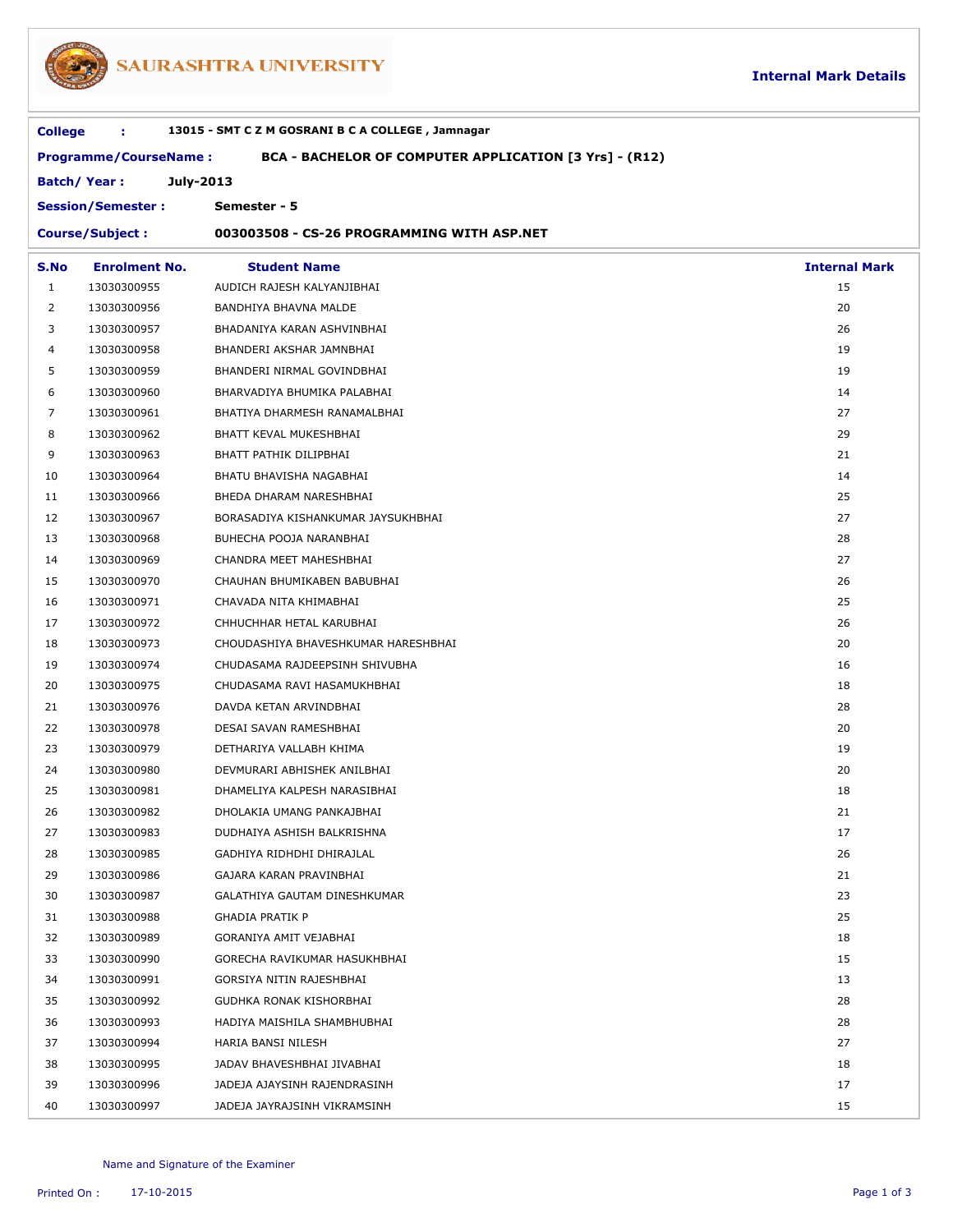

## SAURASHTRA UNIVERSITY

| 13015 - SMT C Z M GOSRANI B C A COLLEGE, Jamnagar<br><b>College</b><br>÷               |                      |                                            |                      |  |  |  |  |
|----------------------------------------------------------------------------------------|----------------------|--------------------------------------------|----------------------|--|--|--|--|
| <b>Programme/CourseName:</b><br>BCA - BACHELOR OF COMPUTER APPLICATION [3 Yrs] - (R12) |                      |                                            |                      |  |  |  |  |
|                                                                                        | <b>Batch/Year:</b>   | July-2013                                  |                      |  |  |  |  |
| Semester - 5<br><b>Session/Semester:</b>                                               |                      |                                            |                      |  |  |  |  |
| <b>Course/Subject:</b>                                                                 |                      | 003003508 - CS-26 PROGRAMMING WITH ASP.NET |                      |  |  |  |  |
| S.No                                                                                   | <b>Enrolment No.</b> | <b>Student Name</b>                        | <b>Internal Mark</b> |  |  |  |  |
| 1                                                                                      | 13030300955          | AUDICH RAJESH KALYANJIBHAI                 | 15                   |  |  |  |  |
| 2                                                                                      | 13030300956          | BANDHIYA BHAVNA MALDE                      | 20                   |  |  |  |  |
| 3                                                                                      | 13030300957          | BHADANIYA KARAN ASHVINBHAI                 | 26                   |  |  |  |  |
| 4                                                                                      | 13030300958          | BHANDERI AKSHAR JAMNBHAI                   | 19                   |  |  |  |  |
| 5                                                                                      | 13030300959          | BHANDERI NIRMAL GOVINDBHAI                 | 19                   |  |  |  |  |
| 6                                                                                      | 13030300960          | BHARVADIYA BHUMIKA PALABHAI                | 14                   |  |  |  |  |
| 7                                                                                      | 13030300961          | BHATIYA DHARMESH RANAMALBHAI               | 27                   |  |  |  |  |
| 8                                                                                      | 13030300962          | BHATT KEVAL MUKESHBHAI                     | 29                   |  |  |  |  |
| 9                                                                                      | 13030300963          | BHATT PATHIK DILIPBHAI                     | 21                   |  |  |  |  |
| 10                                                                                     | 13030300964          | BHATU BHAVISHA NAGABHAI                    | 14                   |  |  |  |  |
| 11                                                                                     | 13030300966          | BHEDA DHARAM NARESHBHAI                    | 25                   |  |  |  |  |
| 12                                                                                     | 13030300967          | BORASADIYA KISHANKUMAR JAYSUKHBHAI         | 27                   |  |  |  |  |
| 13                                                                                     | 13030300968          | BUHECHA POOJA NARANBHAI                    | 28                   |  |  |  |  |
| 14                                                                                     | 13030300969          | CHANDRA MEET MAHESHBHAI                    | 27                   |  |  |  |  |
| 15                                                                                     | 13030300970          | CHAUHAN BHUMIKABEN BABUBHAI                | 26                   |  |  |  |  |
| 16                                                                                     | 13030300971          | CHAVADA NITA KHIMABHAI                     | 25                   |  |  |  |  |
| 17                                                                                     | 13030300972          | CHHUCHHAR HETAL KARUBHAI                   | 26                   |  |  |  |  |
| 18                                                                                     | 13030300973          | CHOUDASHIYA BHAVESHKUMAR HARESHBHAI        | 20                   |  |  |  |  |
| 19                                                                                     | 13030300974          | CHUDASAMA RAJDEEPSINH SHIVUBHA             | 16                   |  |  |  |  |
| 20                                                                                     | 13030300975          | CHUDASAMA RAVI HASAMUKHBHAI                | 18                   |  |  |  |  |
| 21                                                                                     | 13030300976          | DAVDA KETAN ARVINDBHAI                     | 28                   |  |  |  |  |
| 22                                                                                     | 13030300978          | DESAI SAVAN RAMESHBHAI                     | 20                   |  |  |  |  |
| 23                                                                                     | 13030300979          | DETHARIYA VALLABH KHIMA                    | 19                   |  |  |  |  |
| 24                                                                                     | 13030300980          | DEVMURARI ABHISHEK ANILBHAI                | 20                   |  |  |  |  |
| 25                                                                                     | 13030300981          | DHAMELIYA KALPESH NARASIBHAI               | 18                   |  |  |  |  |
| 26                                                                                     | 13030300982          | DHOLAKIA UMANG PANKAJBHAI                  | 21                   |  |  |  |  |
| 27                                                                                     | 13030300983          | DUDHAIYA ASHISH BALKRISHNA                 | 17                   |  |  |  |  |
| 28                                                                                     | 13030300985          | GADHIYA RIDHDHI DHIRAJLAL                  | 26                   |  |  |  |  |
| 29                                                                                     | 13030300986          | GAJARA KARAN PRAVINBHAI                    | 21                   |  |  |  |  |
| 30                                                                                     | 13030300987          | GALATHIYA GAUTAM DINESHKUMAR               | 23                   |  |  |  |  |
| 31                                                                                     | 13030300988          | <b>GHADIA PRATIK P</b>                     | 25                   |  |  |  |  |
| 32                                                                                     | 13030300989          | GORANIYA AMIT VEJABHAI                     | 18                   |  |  |  |  |
| 33                                                                                     | 13030300990          | GORECHA RAVIKUMAR HASUKHBHAI               | 15                   |  |  |  |  |
| 34                                                                                     | 13030300991          | GORSIYA NITIN RAJESHBHAI                   | 13                   |  |  |  |  |
| 35                                                                                     | 13030300992          | GUDHKA RONAK KISHORBHAI                    | 28                   |  |  |  |  |
| 36                                                                                     | 13030300993          | HADIYA MAISHILA SHAMBHUBHAI                | 28                   |  |  |  |  |
| 37                                                                                     | 13030300994          | HARIA BANSI NILESH                         | 27                   |  |  |  |  |
| 38                                                                                     | 13030300995          | JADAV BHAVESHBHAI JIVABHAI                 | 18                   |  |  |  |  |
| 39                                                                                     | 13030300996          | JADEJA AJAYSINH RAJENDRASINH               | 17                   |  |  |  |  |
| 40                                                                                     | 13030300997          | JADEJA JAYRAJSINH VIKRAMSINH               | 15                   |  |  |  |  |
|                                                                                        |                      |                                            |                      |  |  |  |  |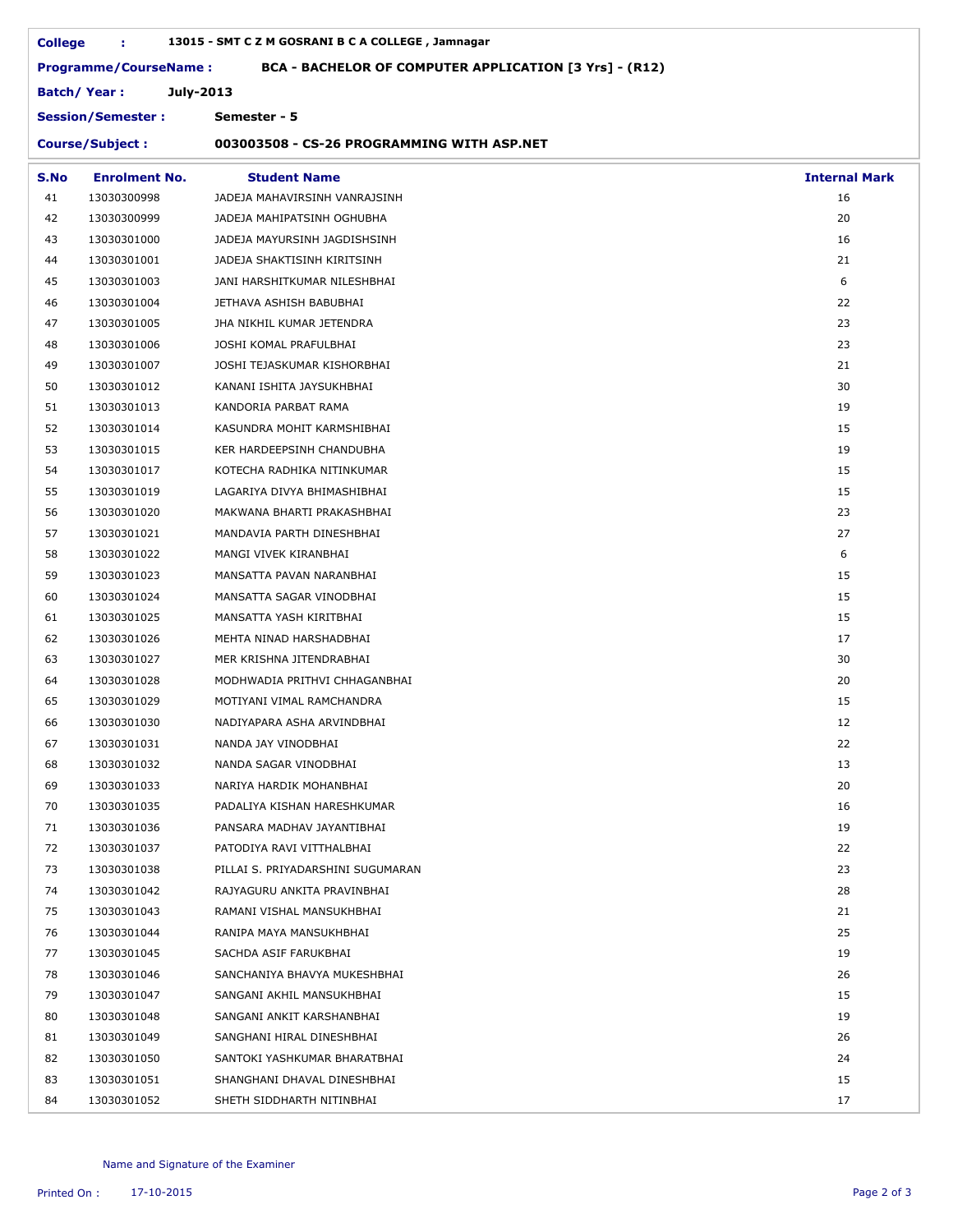|      | 13015 - SMT C Z M GOSRANI B C A COLLEGE, Jamnagar<br><b>College</b><br>÷.              |                                            |                      |  |  |  |
|------|----------------------------------------------------------------------------------------|--------------------------------------------|----------------------|--|--|--|
|      | <b>Programme/CourseName:</b><br>BCA - BACHELOR OF COMPUTER APPLICATION [3 Yrs] - (R12) |                                            |                      |  |  |  |
|      | July-2013<br><b>Batch/Year:</b><br><b>Session/Semester:</b><br>Semester - 5            |                                            |                      |  |  |  |
|      |                                                                                        |                                            |                      |  |  |  |
|      | <b>Course/Subject:</b>                                                                 | 003003508 - CS-26 PROGRAMMING WITH ASP.NET |                      |  |  |  |
| S.No | <b>Enrolment No.</b>                                                                   | <b>Student Name</b>                        | <b>Internal Mark</b> |  |  |  |
| 41   | 13030300998                                                                            | JADEJA MAHAVIRSINH VANRAJSINH              | 16                   |  |  |  |
| 42   | 13030300999                                                                            | JADEJA MAHIPATSINH OGHUBHA                 | 20                   |  |  |  |
| 43   | 13030301000                                                                            | JADEJA MAYURSINH JAGDISHSINH               | 16                   |  |  |  |
| 44   | 13030301001                                                                            | JADEJA SHAKTISINH KIRITSINH                | 21                   |  |  |  |
| 45   | 13030301003                                                                            | JANI HARSHITKUMAR NILESHBHAI               | 6                    |  |  |  |
| 46   | 13030301004                                                                            | JETHAVA ASHISH BABUBHAI                    | 22                   |  |  |  |
| 47   | 13030301005                                                                            | JHA NIKHIL KUMAR JETENDRA                  | 23                   |  |  |  |
| 48   | 13030301006                                                                            | JOSHI KOMAL PRAFULBHAI                     | 23                   |  |  |  |
| 49   | 13030301007                                                                            | JOSHI TEJASKUMAR KISHORBHAI                | 21                   |  |  |  |
| 50   | 13030301012                                                                            | KANANI ISHITA JAYSUKHBHAI                  | 30                   |  |  |  |
| 51   | 13030301013                                                                            | KANDORIA PARBAT RAMA                       | 19                   |  |  |  |
| 52   | 13030301014                                                                            | KASUNDRA MOHIT KARMSHIBHAI                 | 15                   |  |  |  |
| 53   | 13030301015                                                                            | KER HARDEEPSINH CHANDUBHA                  | 19                   |  |  |  |
| 54   | 13030301017                                                                            | KOTECHA RADHIKA NITINKUMAR                 | 15                   |  |  |  |
| 55   | 13030301019                                                                            | LAGARIYA DIVYA BHIMASHIBHAI                | 15                   |  |  |  |
| 56   | 13030301020                                                                            | MAKWANA BHARTI PRAKASHBHAI                 | 23                   |  |  |  |
| 57   | 13030301021                                                                            | MANDAVIA PARTH DINESHBHAI                  | 27                   |  |  |  |
| 58   | 13030301022                                                                            | MANGI VIVEK KIRANBHAI                      | 6                    |  |  |  |
| 59   | 13030301023                                                                            | MANSATTA PAVAN NARANBHAI                   | 15                   |  |  |  |
| 60   | 13030301024                                                                            | MANSATTA SAGAR VINODBHAI                   | 15                   |  |  |  |
| 61   | 13030301025                                                                            | MANSATTA YASH KIRITBHAI                    | 15                   |  |  |  |
| 62   | 13030301026                                                                            | MEHTA NINAD HARSHADBHAI                    | 17                   |  |  |  |
| 63   | 13030301027                                                                            | MER KRISHNA JITENDRABHAI                   | 30                   |  |  |  |
| 64   | 13030301028                                                                            | MODHWADIA PRITHVI CHHAGANBHAI              | 20                   |  |  |  |
| 65   | 13030301029                                                                            | MOTIYANI VIMAL RAMCHANDRA                  | 15                   |  |  |  |
| 66   | 13030301030                                                                            | NADIYAPARA ASHA ARVINDBHAI                 | 12                   |  |  |  |
| 67   | 13030301031                                                                            | NANDA JAY VINODBHAI                        | 22                   |  |  |  |
| 68   | 13030301032                                                                            | NANDA SAGAR VINODBHAI                      | 13                   |  |  |  |
| 69   | 13030301033                                                                            | NARIYA HARDIK MOHANBHAI                    | 20                   |  |  |  |
| 70   | 13030301035                                                                            | PADALIYA KISHAN HARESHKUMAR                | 16                   |  |  |  |
| 71   | 13030301036                                                                            | PANSARA MADHAV JAYANTIBHAI                 | 19                   |  |  |  |
| 72   | 13030301037                                                                            | PATODIYA RAVI VITTHALBHAI                  | 22                   |  |  |  |
| 73   | 13030301038                                                                            | PILLAI S. PRIYADARSHINI SUGUMARAN          | 23                   |  |  |  |
| 74   | 13030301042                                                                            | RAJYAGURU ANKITA PRAVINBHAI                | 28                   |  |  |  |
| 75   | 13030301043                                                                            | RAMANI VISHAL MANSUKHBHAI                  | 21                   |  |  |  |
| 76   | 13030301044                                                                            | RANIPA MAYA MANSUKHBHAI                    | 25                   |  |  |  |
| 77   | 13030301045                                                                            | SACHDA ASIF FARUKBHAI                      | 19                   |  |  |  |
| 78   | 13030301046                                                                            | SANCHANIYA BHAVYA MUKESHBHAI               | 26                   |  |  |  |
| 79   | 13030301047                                                                            | SANGANI AKHIL MANSUKHBHAI                  | 15                   |  |  |  |
| 80   | 13030301048                                                                            | SANGANI ANKIT KARSHANBHAI                  | 19                   |  |  |  |
| 81   | 13030301049                                                                            | SANGHANI HIRAL DINESHBHAI                  | 26                   |  |  |  |
| 82   | 13030301050                                                                            | SANTOKI YASHKUMAR BHARATBHAI               | 24                   |  |  |  |
| 83   | 13030301051                                                                            | SHANGHANI DHAVAL DINESHBHAI                | 15                   |  |  |  |
| 84   | 13030301052                                                                            | SHETH SIDDHARTH NITINBHAI                  | 17                   |  |  |  |